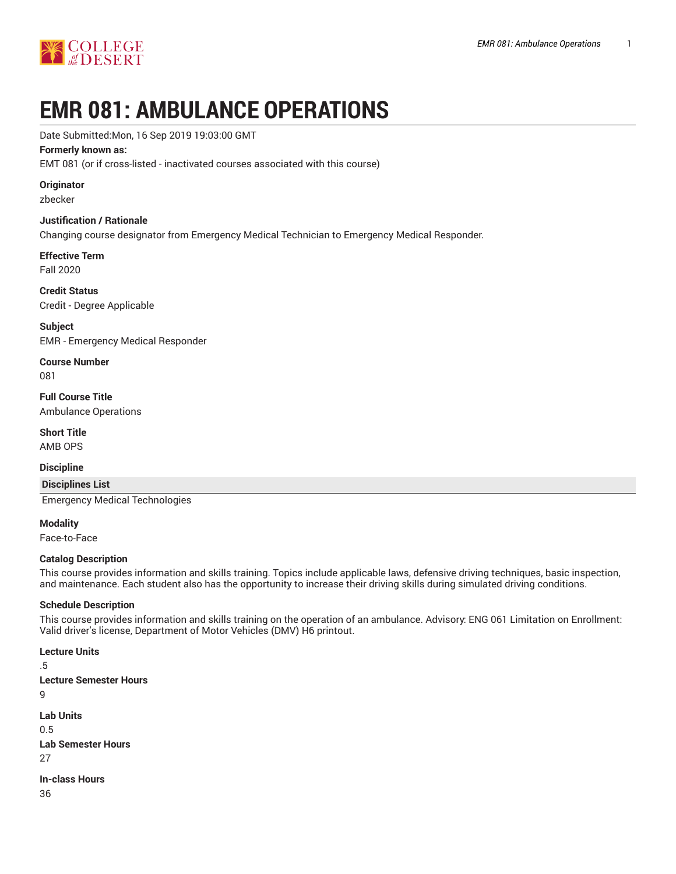

# **EMR 081: AMBULANCE OPERATIONS**

#### Date Submitted:Mon, 16 Sep 2019 19:03:00 GMT

#### **Formerly known as:**

EMT 081 (or if cross-listed - inactivated courses associated with this course)

#### **Originator**

zbecker

#### **Justification / Rationale**

Changing course designator from Emergency Medical Technician to Emergency Medical Responder.

#### **Effective Term**

Fall 2020

**Credit Status** Credit - Degree Applicable

**Subject** EMR - Emergency Medical Responder

**Course Number** 081

**Full Course Title** Ambulance Operations

**Short Title** AMB OPS

#### **Discipline**

**Disciplines List**

Emergency Medical Technologies

**Modality** Face-to-Face

## **Catalog Description**

This course provides information and skills training. Topics include applicable laws, defensive driving techniques, basic inspection, and maintenance. Each student also has the opportunity to increase their driving skills during simulated driving conditions.

#### **Schedule Description**

This course provides information and skills training on the operation of an ambulance. Advisory: ENG 061 Limitation on Enrollment: Valid driver's license, Department of Motor Vehicles (DMV) H6 printout.

```
Lecture Units
.5
Lecture Semester Hours
9
Lab Units
0.5
Lab Semester Hours
27
In-class Hours
36
```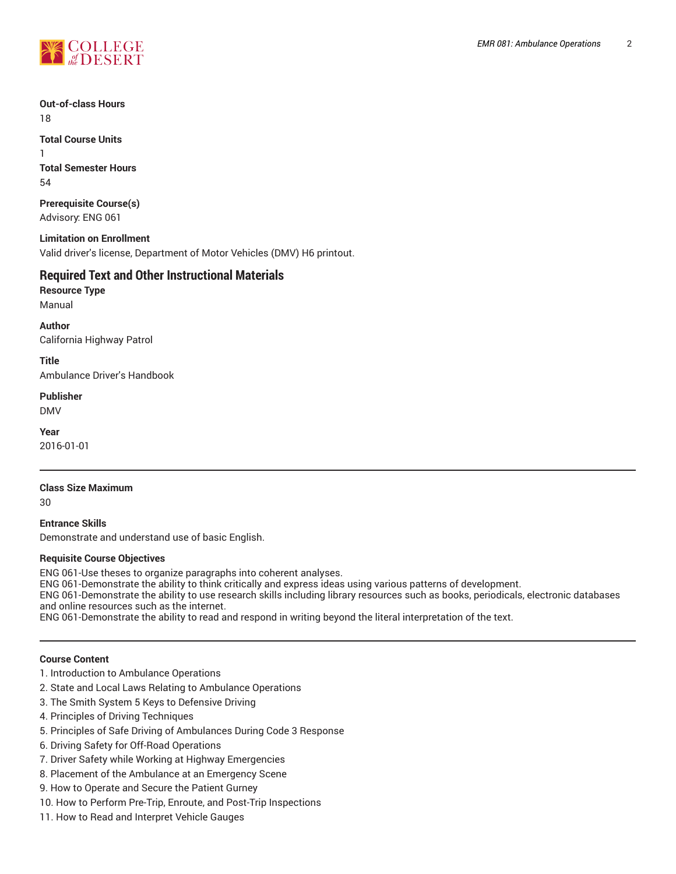

**Out-of-class Hours** 18

**Total Course Units** 1 **Total Semester Hours** 54

**Prerequisite Course(s)** Advisory: ENG 061

**Limitation on Enrollment** Valid driver's license, Department of Motor Vehicles (DMV) H6 printout.

# **Required Text and Other Instructional Materials**

**Resource Type** Manual

**Author** California Highway Patrol

**Title** Ambulance Driver's Handbook

**Publisher**

DMV

**Year** 2016-01-01

#### **Class Size Maximum**

30

**Entrance Skills** Demonstrate and understand use of basic English.

#### **Requisite Course Objectives**

ENG 061-Use theses to organize paragraphs into coherent analyses.

ENG 061-Demonstrate the ability to think critically and express ideas using various patterns of development.

ENG 061-Demonstrate the ability to use research skills including library resources such as books, periodicals, electronic databases and online resources such as the internet.

ENG 061-Demonstrate the ability to read and respond in writing beyond the literal interpretation of the text.

#### **Course Content**

- 1. Introduction to Ambulance Operations
- 2. State and Local Laws Relating to Ambulance Operations
- 3. The Smith System 5 Keys to Defensive Driving
- 4. Principles of Driving Techniques
- 5. Principles of Safe Driving of Ambulances During Code 3 Response
- 6. Driving Safety for Off-Road Operations
- 7. Driver Safety while Working at Highway Emergencies
- 8. Placement of the Ambulance at an Emergency Scene
- 9. How to Operate and Secure the Patient Gurney
- 10. How to Perform Pre-Trip, Enroute, and Post-Trip Inspections
- 11. How to Read and Interpret Vehicle Gauges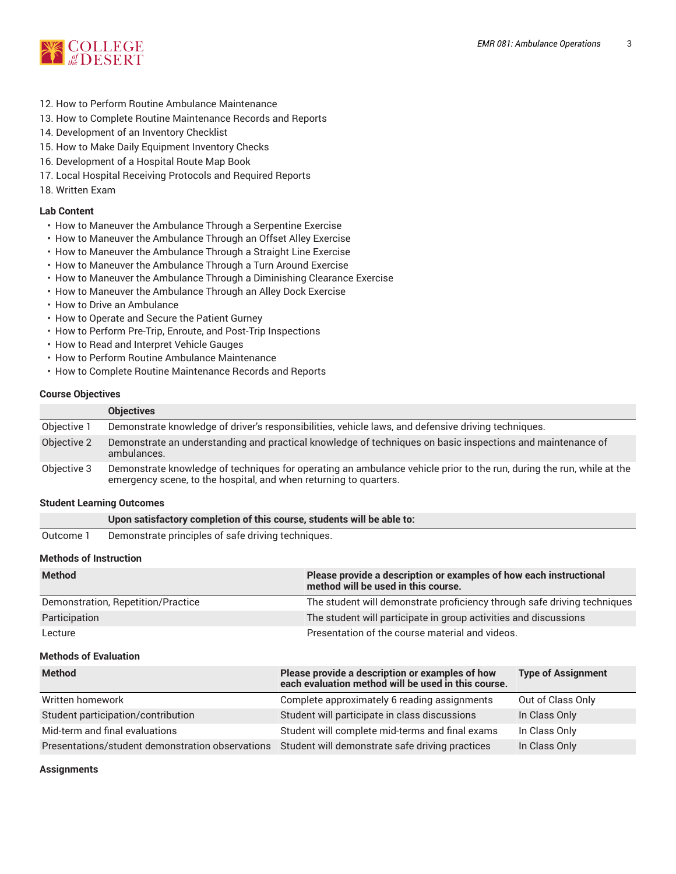

- 12. How to Perform Routine Ambulance Maintenance
- 13. How to Complete Routine Maintenance Records and Reports
- 14. Development of an Inventory Checklist
- 15. How to Make Daily Equipment Inventory Checks
- 16. Development of a Hospital Route Map Book
- 17. Local Hospital Receiving Protocols and Required Reports
- 18. Written Exam

#### **Lab Content**

- How to Maneuver the Ambulance Through a Serpentine Exercise
- How to Maneuver the Ambulance Through an Offset Alley Exercise
- How to Maneuver the Ambulance Through a Straight Line Exercise
- How to Maneuver the Ambulance Through a Turn Around Exercise
- How to Maneuver the Ambulance Through a Diminishing Clearance Exercise
- How to Maneuver the Ambulance Through an Alley Dock Exercise
- How to Drive an Ambulance
- How to Operate and Secure the Patient Gurney
- How to Perform Pre-Trip, Enroute, and Post-Trip Inspections
- How to Read and Interpret Vehicle Gauges
- How to Perform Routine Ambulance Maintenance
- How to Complete Routine Maintenance Records and Reports

#### **Course Objectives**

|             | <b>Objectives</b>                                                                                                                                                                          |
|-------------|--------------------------------------------------------------------------------------------------------------------------------------------------------------------------------------------|
| Objective 1 | Demonstrate knowledge of driver's responsibilities, vehicle laws, and defensive driving techniques.                                                                                        |
| Objective 2 | Demonstrate an understanding and practical knowledge of techniques on basic inspections and maintenance of<br>ambulances.                                                                  |
| Objective 3 | Demonstrate knowledge of techniques for operating an ambulance vehicle prior to the run, during the run, while at the<br>emergency scene, to the hospital, and when returning to quarters. |

#### **Student Learning Outcomes**

|           | Upon satisfactory completion of this course, students will be able to: |
|-----------|------------------------------------------------------------------------|
| Outcome 1 | Demonstrate principles of safe driving techniques.                     |

#### **Methods of Instruction**

| <b>Method</b>                      | Please provide a description or examples of how each instructional<br>method will be used in this course. |
|------------------------------------|-----------------------------------------------------------------------------------------------------------|
| Demonstration, Repetition/Practice | The student will demonstrate proficiency through safe driving techniques                                  |
| Participation                      | The student will participate in group activities and discussions                                          |
| Lecture                            | Presentation of the course material and videos.                                                           |

#### **Methods of Evaluation**

| <b>Method</b>                                    | Please provide a description or examples of how<br>each evaluation method will be used in this course. | <b>Type of Assignment</b> |
|--------------------------------------------------|--------------------------------------------------------------------------------------------------------|---------------------------|
| Written homework                                 | Complete approximately 6 reading assignments                                                           | Out of Class Only         |
| Student participation/contribution               | Student will participate in class discussions                                                          | In Class Only             |
| Mid-term and final evaluations                   | Student will complete mid-terms and final exams                                                        | In Class Only             |
| Presentations/student demonstration observations | Student will demonstrate safe driving practices                                                        | In Class Only             |

**Assignments**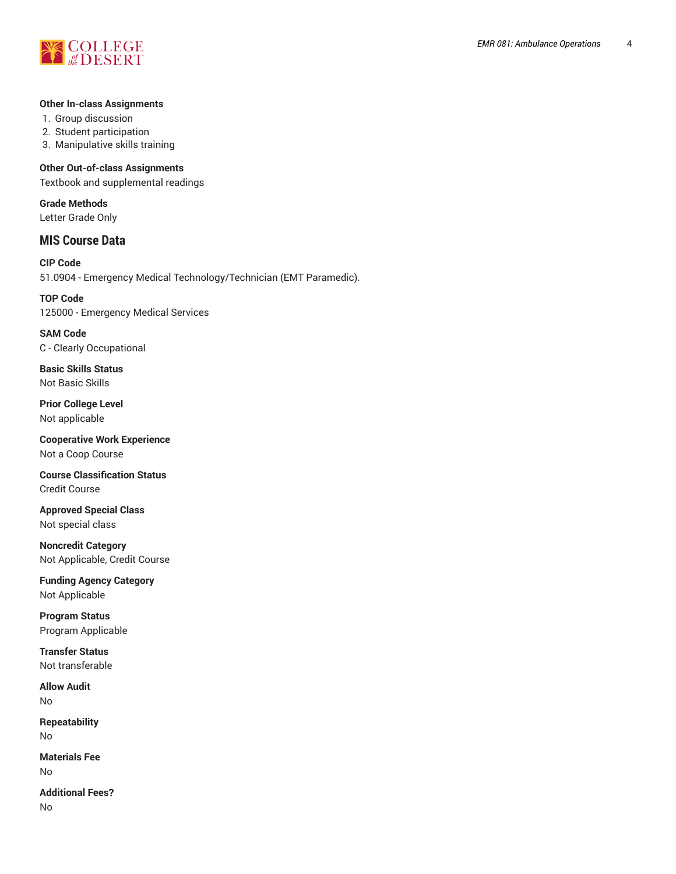

#### **Other In-class Assignments**

1. Group discussion

- 2. Student participation
- 3. Manipulative skills training

#### **Other Out-of-class Assignments**

Textbook and supplemental readings

**Grade Methods** Letter Grade Only

# **MIS Course Data**

**CIP Code** 51.0904 - Emergency Medical Technology/Technician (EMT Paramedic).

**TOP Code** 125000 - Emergency Medical Services

**SAM Code** C - Clearly Occupational

**Basic Skills Status** Not Basic Skills

**Prior College Level** Not applicable

**Cooperative Work Experience** Not a Coop Course

**Course Classification Status** Credit Course

**Approved Special Class** Not special class

**Noncredit Category** Not Applicable, Credit Course

**Funding Agency Category** Not Applicable

**Program Status** Program Applicable

**Transfer Status** Not transferable

**Allow Audit** No

**Repeatability** No

**Materials Fee** No

**Additional Fees?** No